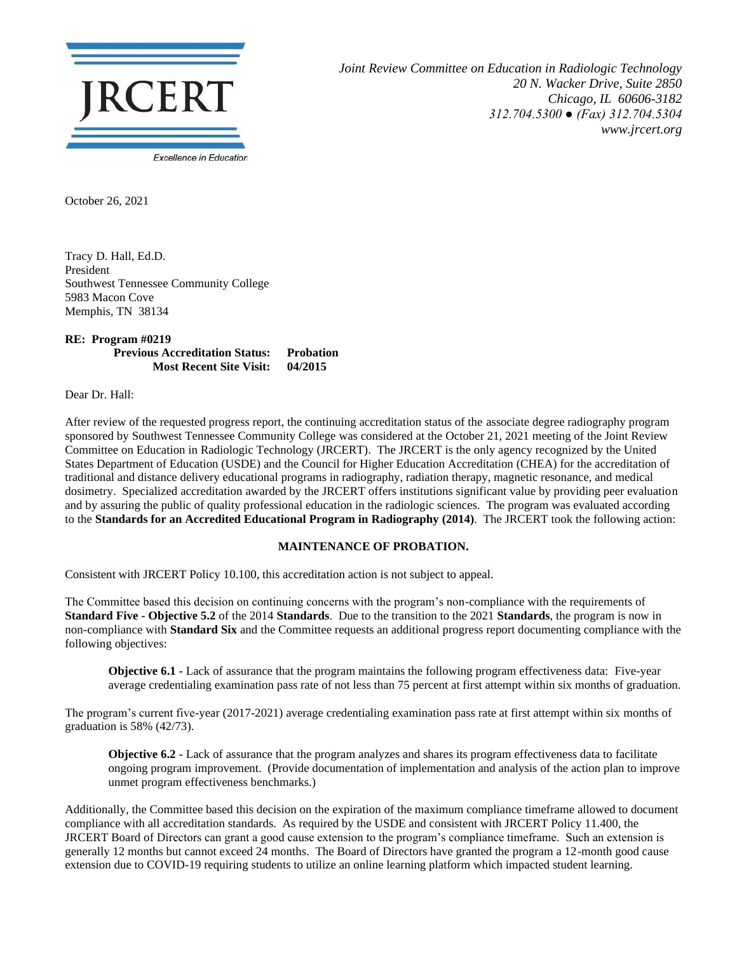

*Joint Review Committee on Education in Radiologic Technology 20 N. Wacker Drive, Suite 2850 Chicago, IL 60606-3182 312.704.5300 ● (Fax) 312.704.5304 www.jrcert.org*

October 26, 2021

Tracy D. Hall, Ed.D. President Southwest Tennessee Community College 5983 Macon Cove Memphis, TN 38134

## **RE: Program #0219 Previous Accreditation Status: Probation Most Recent Site Visit: 04/2015**

Dear Dr. Hall:

After review of the requested progress report, the continuing accreditation status of the associate degree radiography program sponsored by Southwest Tennessee Community College was considered at the October 21, 2021 meeting of the Joint Review Committee on Education in Radiologic Technology (JRCERT). The JRCERT is the only agency recognized by the United States Department of Education (USDE) and the Council for Higher Education Accreditation (CHEA) for the accreditation of traditional and distance delivery educational programs in radiography, radiation therapy, magnetic resonance, and medical dosimetry. Specialized accreditation awarded by the JRCERT offers institutions significant value by providing peer evaluation and by assuring the public of quality professional education in the radiologic sciences. The program was evaluated according to the **Standards for an Accredited Educational Program in Radiography (2014)**. The JRCERT took the following action:

## **MAINTENANCE OF PROBATION.**

Consistent with JRCERT Policy 10.100, this accreditation action is not subject to appeal.

The Committee based this decision on continuing concerns with the program's non-compliance with the requirements of **Standard Five - Objective 5.2** of the 2014 **Standards**. Due to the transition to the 2021 **Standards**, the program is now in non-compliance with **Standard Six** and the Committee requests an additional progress report documenting compliance with the following objectives:

**Objective 6.1 -** Lack of assurance that the program maintains the following program effectiveness data: Five-year average credentialing examination pass rate of not less than 75 percent at first attempt within six months of graduation.

The program's current five-year (2017-2021) average credentialing examination pass rate at first attempt within six months of graduation is 58% (42/73).

**Objective 6.2 -** Lack of assurance that the program analyzes and shares its program effectiveness data to facilitate ongoing program improvement. (Provide documentation of implementation and analysis of the action plan to improve unmet program effectiveness benchmarks.)

Additionally, the Committee based this decision on the expiration of the maximum compliance timeframe allowed to document compliance with all accreditation standards. As required by the USDE and consistent with JRCERT Policy 11.400, the JRCERT Board of Directors can grant a good cause extension to the program's compliance timeframe. Such an extension is generally 12 months but cannot exceed 24 months. The Board of Directors have granted the program a 12-month good cause extension due to COVID-19 requiring students to utilize an online learning platform which impacted student learning.